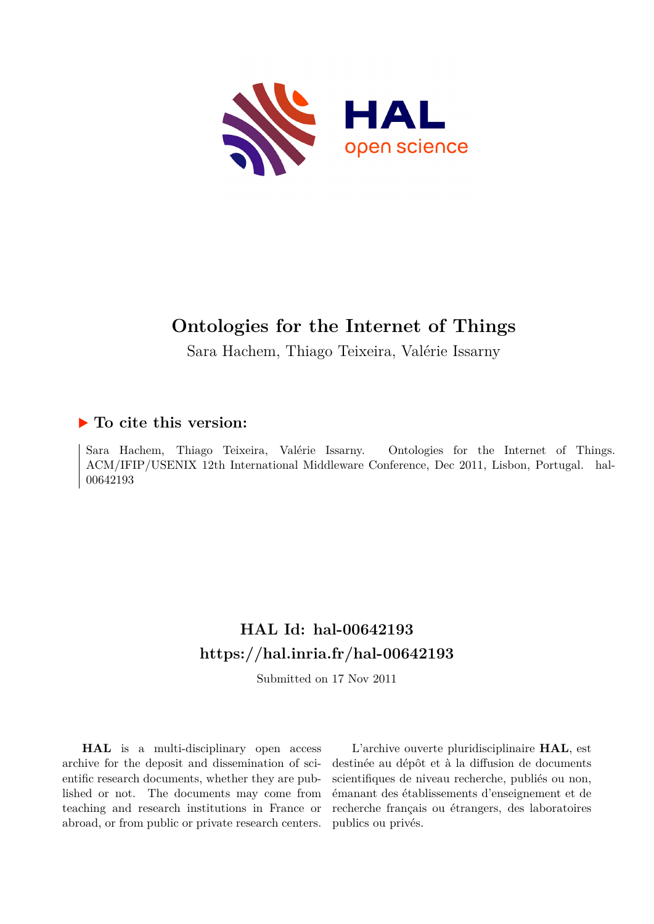

# **Ontologies for the Internet of Things**

Sara Hachem, Thiago Teixeira, Valérie Issarny

# **To cite this version:**

Sara Hachem, Thiago Teixeira, Valérie Issarny. Ontologies for the Internet of Things. ACM/IFIP/USENIX 12th International Middleware Conference, Dec 2011, Lisbon, Portugal. hal-00642193

# **HAL Id: hal-00642193 <https://hal.inria.fr/hal-00642193>**

Submitted on 17 Nov 2011

**HAL** is a multi-disciplinary open access archive for the deposit and dissemination of scientific research documents, whether they are published or not. The documents may come from teaching and research institutions in France or abroad, or from public or private research centers.

L'archive ouverte pluridisciplinaire **HAL**, est destinée au dépôt et à la diffusion de documents scientifiques de niveau recherche, publiés ou non, émanant des établissements d'enseignement et de recherche français ou étrangers, des laboratoires publics ou privés.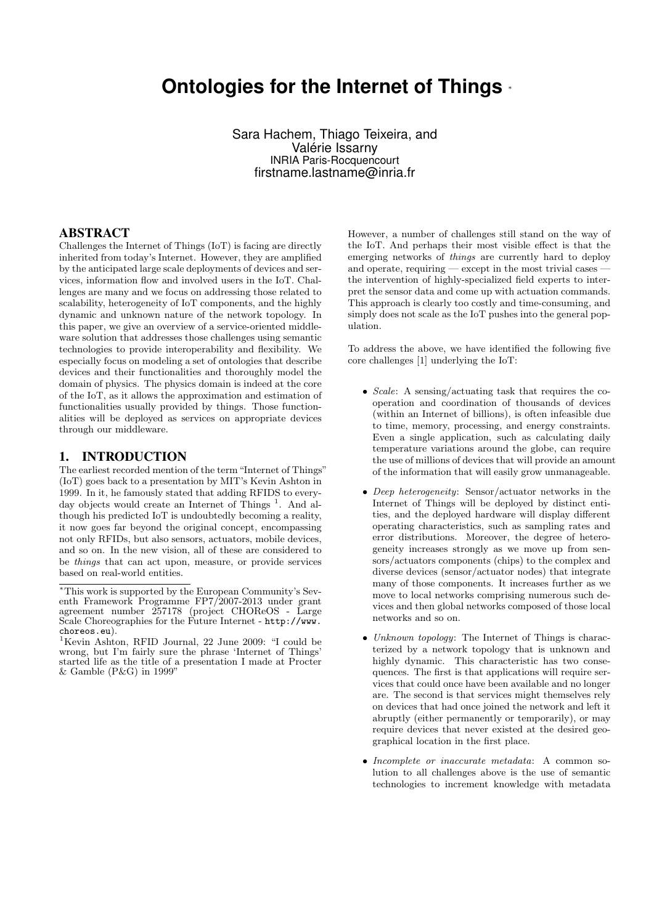# **Ontologies for the Internet of Things** <sup>∗</sup>

Sara Hachem, Thiago Teixeira, and Valérie Issarny INRIA Paris-Rocquencourt firstname.lastname@inria.fr

# ABSTRACT

Challenges the Internet of Things (IoT) is facing are directly inherited from today's Internet. However, they are amplified by the anticipated large scale deployments of devices and services, information flow and involved users in the IoT. Challenges are many and we focus on addressing those related to scalability, heterogeneity of IoT components, and the highly dynamic and unknown nature of the network topology. In this paper, we give an overview of a service-oriented middleware solution that addresses those challenges using semantic technologies to provide interoperability and flexibility. We especially focus on modeling a set of ontologies that describe devices and their functionalities and thoroughly model the domain of physics. The physics domain is indeed at the core of the IoT, as it allows the approximation and estimation of functionalities usually provided by things. Those functionalities will be deployed as services on appropriate devices through our middleware.

### 1. INTRODUCTION

The earliest recorded mention of the term "Internet of Things" (IoT) goes back to a presentation by MIT's Kevin Ashton in 1999. In it, he famously stated that adding RFIDS to everyday objects would create an Internet of Things<sup>1</sup>. And although his predicted IoT is undoubtedly becoming a reality, it now goes far beyond the original concept, encompassing not only RFIDs, but also sensors, actuators, mobile devices, and so on. In the new vision, all of these are considered to be things that can act upon, measure, or provide services based on real-world entities.

However, a number of challenges still stand on the way of the IoT. And perhaps their most visible effect is that the emerging networks of things are currently hard to deploy and operate, requiring  $\frac{1}{x}$  except in the most trivial cases the intervention of highly-specialized field experts to interpret the sensor data and come up with actuation commands. This approach is clearly too costly and time-consuming, and simply does not scale as the IoT pushes into the general population.

To address the above, we have identified the following five core challenges [1] underlying the IoT:

- Scale: A sensing/actuating task that requires the cooperation and coordination of thousands of devices (within an Internet of billions), is often infeasible due to time, memory, processing, and energy constraints. Even a single application, such as calculating daily temperature variations around the globe, can require the use of millions of devices that will provide an amount of the information that will easily grow unmanageable.
- Deep heterogeneity: Sensor/actuator networks in the Internet of Things will be deployed by distinct entities, and the deployed hardware will display different operating characteristics, such as sampling rates and error distributions. Moreover, the degree of heterogeneity increases strongly as we move up from sensors/actuators components (chips) to the complex and diverse devices (sensor/actuator nodes) that integrate many of those components. It increases further as we move to local networks comprising numerous such devices and then global networks composed of those local networks and so on.
- Unknown topology: The Internet of Things is characterized by a network topology that is unknown and highly dynamic. This characteristic has two consequences. The first is that applications will require services that could once have been available and no longer are. The second is that services might themselves rely on devices that had once joined the network and left it abruptly (either permanently or temporarily), or may require devices that never existed at the desired geographical location in the first place.
- Incomplete or inaccurate metadata: A common solution to all challenges above is the use of semantic technologies to increment knowledge with metadata

<sup>∗</sup>This work is supported by the European Community's Seventh Framework Programme FP7/2007-2013 under grant agreement number 257178 (project CHOReOS - Large Scale Choreographies for the Future Internet - http://www. choreos.eu).

<sup>1</sup>Kevin Ashton, RFID Journal, 22 June 2009: "I could be wrong, but I'm fairly sure the phrase 'Internet of Things' started life as the title of a presentation I made at Procter  $&$  Gamble (P $&$ G) in 1999"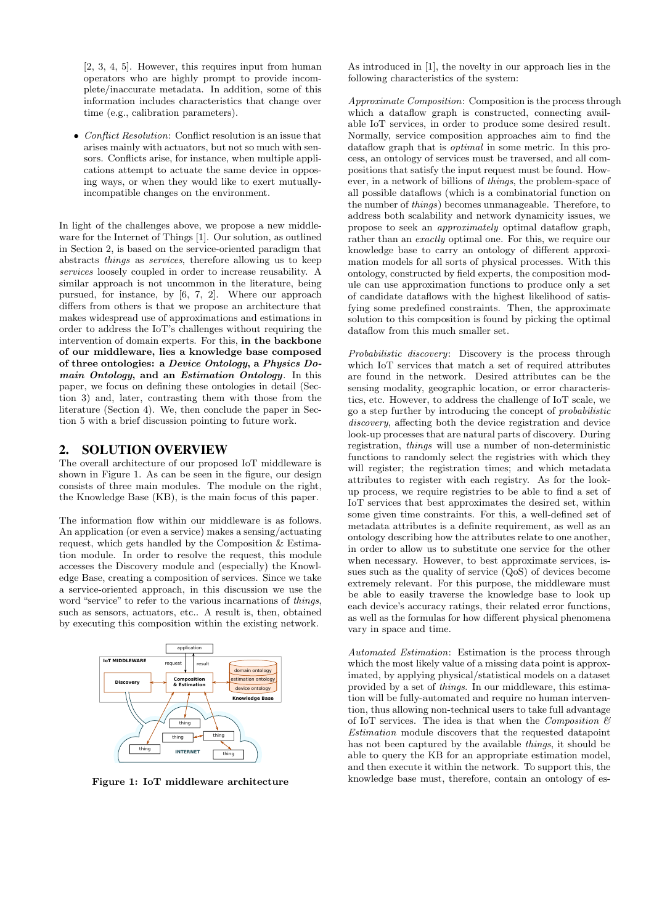[2, 3, 4, 5]. However, this requires input from human operators who are highly prompt to provide incomplete/inaccurate metadata. In addition, some of this information includes characteristics that change over time (e.g., calibration parameters).

• Conflict Resolution: Conflict resolution is an issue that arises mainly with actuators, but not so much with sensors. Conflicts arise, for instance, when multiple applications attempt to actuate the same device in opposing ways, or when they would like to exert mutuallyincompatible changes on the environment.

In light of the challenges above, we propose a new middleware for the Internet of Things [1]. Our solution, as outlined in Section 2, is based on the service-oriented paradigm that abstracts things as services, therefore allowing us to keep services loosely coupled in order to increase reusability. A similar approach is not uncommon in the literature, being pursued, for instance, by [6, 7, 2]. Where our approach differs from others is that we propose an architecture that makes widespread use of approximations and estimations in order to address the IoT's challenges without requiring the intervention of domain experts. For this, in the backbone of our middleware, lies a knowledge base composed of three ontologies: a Device Ontology, a Physics Domain Ontology, and an Estimation Ontology. In this paper, we focus on defining these ontologies in detail (Section 3) and, later, contrasting them with those from the literature (Section 4). We, then conclude the paper in Section 5 with a brief discussion pointing to future work.

### 2. SOLUTION OVERVIEW

The overall architecture of our proposed IoT middleware is shown in Figure 1. As can be seen in the figure, our design consists of three main modules. The module on the right, the Knowledge Base (KB), is the main focus of this paper.

The information flow within our middleware is as follows. An application (or even a service) makes a sensing/actuating request, which gets handled by the Composition & Estimation module. In order to resolve the request, this module accesses the Discovery module and (especially) the Knowledge Base, creating a composition of services. Since we take a service-oriented approach, in this discussion we use the word "service" to refer to the various incarnations of things, such as sensors, actuators, etc.. A result is, then, obtained by executing this composition within the existing network.



Figure 1: IoT middleware architecture

As introduced in [1], the novelty in our approach lies in the following characteristics of the system:

Approximate Composition: Composition is the process through which a dataflow graph is constructed, connecting available IoT services, in order to produce some desired result. Normally, service composition approaches aim to find the dataflow graph that is *optimal* in some metric. In this process, an ontology of services must be traversed, and all compositions that satisfy the input request must be found. However, in a network of billions of things, the problem-space of all possible dataflows (which is a combinatorial function on the number of things) becomes unmanageable. Therefore, to address both scalability and network dynamicity issues, we propose to seek an approximately optimal dataflow graph, rather than an exactly optimal one. For this, we require our knowledge base to carry an ontology of different approximation models for all sorts of physical processes. With this ontology, constructed by field experts, the composition module can use approximation functions to produce only a set of candidate dataflows with the highest likelihood of satisfying some predefined constraints. Then, the approximate solution to this composition is found by picking the optimal dataflow from this much smaller set.

Probabilistic discovery: Discovery is the process through which IoT services that match a set of required attributes are found in the network. Desired attributes can be the sensing modality, geographic location, or error characteristics, etc. However, to address the challenge of IoT scale, we go a step further by introducing the concept of probabilistic discovery, affecting both the device registration and device look-up processes that are natural parts of discovery. During registration, things will use a number of non-deterministic functions to randomly select the registries with which they will register; the registration times; and which metadata attributes to register with each registry. As for the lookup process, we require registries to be able to find a set of IoT services that best approximates the desired set, within some given time constraints. For this, a well-defined set of metadata attributes is a definite requirement, as well as an ontology describing how the attributes relate to one another, in order to allow us to substitute one service for the other when necessary. However, to best approximate services, issues such as the quality of service (QoS) of devices become extremely relevant. For this purpose, the middleware must be able to easily traverse the knowledge base to look up each device's accuracy ratings, their related error functions, as well as the formulas for how different physical phenomena vary in space and time.

Automated Estimation: Estimation is the process through which the most likely value of a missing data point is approximated, by applying physical/statistical models on a dataset provided by a set of things. In our middleware, this estimation will be fully-automated and require no human intervention, thus allowing non-technical users to take full advantage of IoT services. The idea is that when the *Composition*  $\mathscr E$ Estimation module discovers that the requested datapoint has not been captured by the available things, it should be able to query the KB for an appropriate estimation model, and then execute it within the network. To support this, the knowledge base must, therefore, contain an ontology of es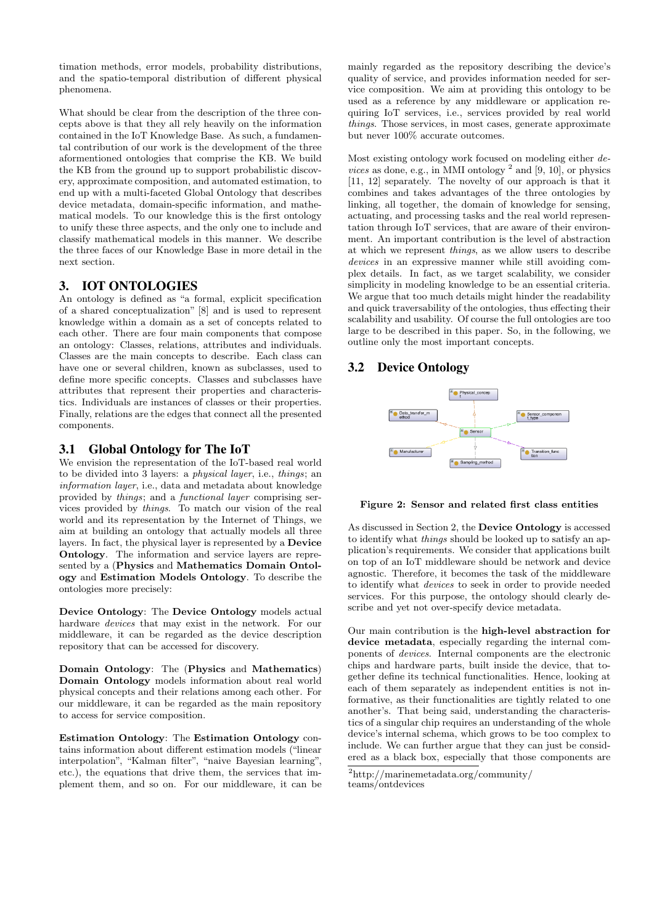timation methods, error models, probability distributions, and the spatio-temporal distribution of different physical phenomena.

What should be clear from the description of the three concepts above is that they all rely heavily on the information contained in the IoT Knowledge Base. As such, a fundamental contribution of our work is the development of the three aformentioned ontologies that comprise the KB. We build the KB from the ground up to support probabilistic discovery, approximate composition, and automated estimation, to end up with a multi-faceted Global Ontology that describes device metadata, domain-specific information, and mathematical models. To our knowledge this is the first ontology to unify these three aspects, and the only one to include and classify mathematical models in this manner. We describe the three faces of our Knowledge Base in more detail in the next section.

# 3. IOT ONTOLOGIES

An ontology is defined as "a formal, explicit specification of a shared conceptualization" [8] and is used to represent knowledge within a domain as a set of concepts related to each other. There are four main components that compose an ontology: Classes, relations, attributes and individuals. Classes are the main concepts to describe. Each class can have one or several children, known as subclasses, used to define more specific concepts. Classes and subclasses have attributes that represent their properties and characteristics. Individuals are instances of classes or their properties. Finally, relations are the edges that connect all the presented components.

# 3.1 Global Ontology for The IoT

We envision the representation of the IoT-based real world to be divided into 3 layers: a physical layer, i.e., things; an information layer, i.e., data and metadata about knowledge provided by things; and a functional layer comprising services provided by things. To match our vision of the real world and its representation by the Internet of Things, we aim at building an ontology that actually models all three layers. In fact, the physical layer is represented by a Device Ontology. The information and service layers are represented by a (Physics and Mathematics Domain Ontology and Estimation Models Ontology. To describe the ontologies more precisely:

Device Ontology: The Device Ontology models actual hardware devices that may exist in the network. For our middleware, it can be regarded as the device description repository that can be accessed for discovery.

Domain Ontology: The (Physics and Mathematics) Domain Ontology models information about real world physical concepts and their relations among each other. For our middleware, it can be regarded as the main repository to access for service composition.

Estimation Ontology: The Estimation Ontology contains information about different estimation models ("linear interpolation", "Kalman filter", "naive Bayesian learning", etc.), the equations that drive them, the services that implement them, and so on. For our middleware, it can be mainly regarded as the repository describing the device's quality of service, and provides information needed for service composition. We aim at providing this ontology to be used as a reference by any middleware or application requiring IoT services, i.e., services provided by real world things. Those services, in most cases, generate approximate but never 100% accurate outcomes.

Most existing ontology work focused on modeling either de*vices* as done, e.g., in MMI ontology<sup>2</sup> and [9, 10], or physics [11, 12] separately. The novelty of our approach is that it combines and takes advantages of the three ontologies by linking, all together, the domain of knowledge for sensing, actuating, and processing tasks and the real world representation through IoT services, that are aware of their environment. An important contribution is the level of abstraction at which we represent things, as we allow users to describe devices in an expressive manner while still avoiding complex details. In fact, as we target scalability, we consider simplicity in modeling knowledge to be an essential criteria. We argue that too much details might hinder the readability and quick traversability of the ontologies, thus effecting their scalability and usability. Of course the full ontologies are too large to be described in this paper. So, in the following, we outline only the most important concepts.

# 3.2 Device Ontology



Figure 2: Sensor and related first class entities

As discussed in Section 2, the Device Ontology is accessed to identify what things should be looked up to satisfy an application's requirements. We consider that applications built on top of an IoT middleware should be network and device agnostic. Therefore, it becomes the task of the middleware to identify what devices to seek in order to provide needed services. For this purpose, the ontology should clearly describe and yet not over-specify device metadata.

Our main contribution is the high-level abstraction for device metadata, especially regarding the internal components of devices. Internal components are the electronic chips and hardware parts, built inside the device, that together define its technical functionalities. Hence, looking at each of them separately as independent entities is not informative, as their functionalities are tightly related to one another's. That being said, understanding the characteristics of a singular chip requires an understanding of the whole device's internal schema, which grows to be too complex to include. We can further argue that they can just be considered as a black box, especially that those components are

 $\mathrm{^{2}http://marinemetada}$  ta.org/community/ teams/ontdevices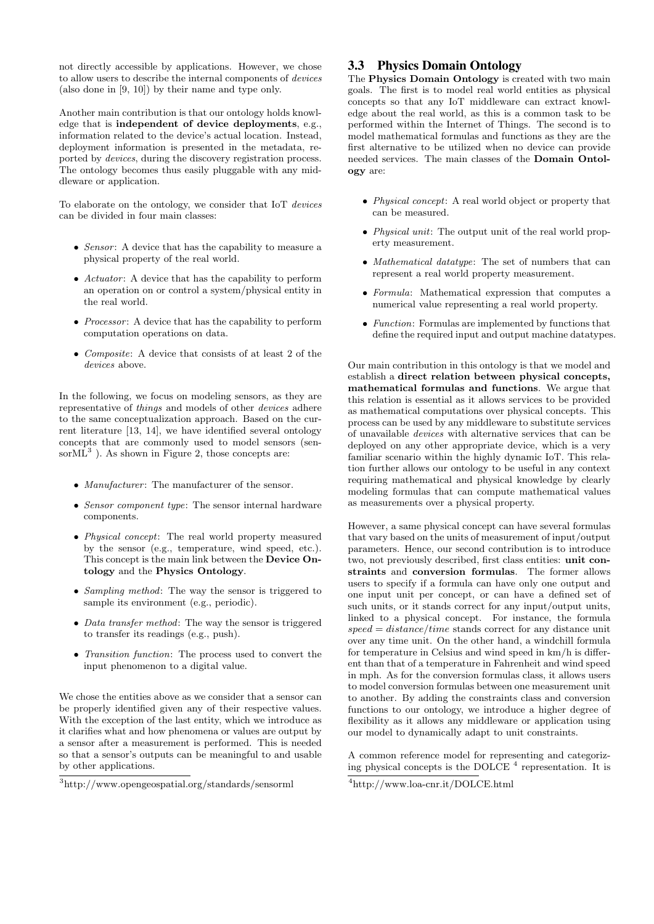not directly accessible by applications. However, we chose to allow users to describe the internal components of devices (also done in [9, 10]) by their name and type only.

Another main contribution is that our ontology holds knowledge that is independent of device deployments, e.g., information related to the device's actual location. Instead, deployment information is presented in the metadata, reported by devices, during the discovery registration process. The ontology becomes thus easily pluggable with any middleware or application.

To elaborate on the ontology, we consider that IoT devices can be divided in four main classes:

- Sensor: A device that has the capability to measure a physical property of the real world.
- Actuator: A device that has the capability to perform an operation on or control a system/physical entity in the real world.
- Processor: A device that has the capability to perform computation operations on data.
- Composite: A device that consists of at least 2 of the devices above.

In the following, we focus on modeling sensors, as they are representative of things and models of other devices adhere to the same conceptualization approach. Based on the current literature [13, 14], we have identified several ontology concepts that are commonly used to model sensors (sen- $\text{sortML}^3$ ). As shown in Figure 2, those concepts are:

- Manufacturer: The manufacturer of the sensor.
- Sensor component type: The sensor internal hardware components.
- *Physical concept*: The real world property measured by the sensor (e.g., temperature, wind speed, etc.). This concept is the main link between the Device Ontology and the Physics Ontology.
- Sampling method: The way the sensor is triggered to sample its environment (e.g., periodic).
- Data transfer method: The way the sensor is triggered to transfer its readings (e.g., push).
- Transition function: The process used to convert the input phenomenon to a digital value.

We chose the entities above as we consider that a sensor can be properly identified given any of their respective values. With the exception of the last entity, which we introduce as it clarifies what and how phenomena or values are output by a sensor after a measurement is performed. This is needed so that a sensor's outputs can be meaningful to and usable by other applications.

### 3.3 Physics Domain Ontology

The Physics Domain Ontology is created with two main goals. The first is to model real world entities as physical concepts so that any IoT middleware can extract knowledge about the real world, as this is a common task to be performed within the Internet of Things. The second is to model mathematical formulas and functions as they are the first alternative to be utilized when no device can provide needed services. The main classes of the Domain Ontology are:

- *Physical concept*: A real world object or property that can be measured.
- *Physical unit:* The output unit of the real world property measurement.
- Mathematical datatype: The set of numbers that can represent a real world property measurement.
- Formula: Mathematical expression that computes a numerical value representing a real world property.
- Function: Formulas are implemented by functions that define the required input and output machine datatypes.

Our main contribution in this ontology is that we model and establish a direct relation between physical concepts, mathematical formulas and functions. We argue that this relation is essential as it allows services to be provided as mathematical computations over physical concepts. This process can be used by any middleware to substitute services of unavailable devices with alternative services that can be deployed on any other appropriate device, which is a very familiar scenario within the highly dynamic IoT. This relation further allows our ontology to be useful in any context requiring mathematical and physical knowledge by clearly modeling formulas that can compute mathematical values as measurements over a physical property.

However, a same physical concept can have several formulas that vary based on the units of measurement of input/output parameters. Hence, our second contribution is to introduce two, not previously described, first class entities: unit constraints and conversion formulas. The former allows users to specify if a formula can have only one output and one input unit per concept, or can have a defined set of such units, or it stands correct for any input/output units, linked to a physical concept. For instance, the formula  $speed = distance/time$  stands correct for any distance unit over any time unit. On the other hand, a windchill formula for temperature in Celsius and wind speed in km/h is different than that of a temperature in Fahrenheit and wind speed in mph. As for the conversion formulas class, it allows users to model conversion formulas between one measurement unit to another. By adding the constraints class and conversion functions to our ontology, we introduce a higher degree of flexibility as it allows any middleware or application using our model to dynamically adapt to unit constraints.

A common reference model for representing and categorizing physical concepts is the DOLCE  $<sup>4</sup>$  representation. It is</sup>

<sup>3</sup>http://www.opengeospatial.org/standards/sensorml

<sup>4</sup>http://www.loa-cnr.it/DOLCE.html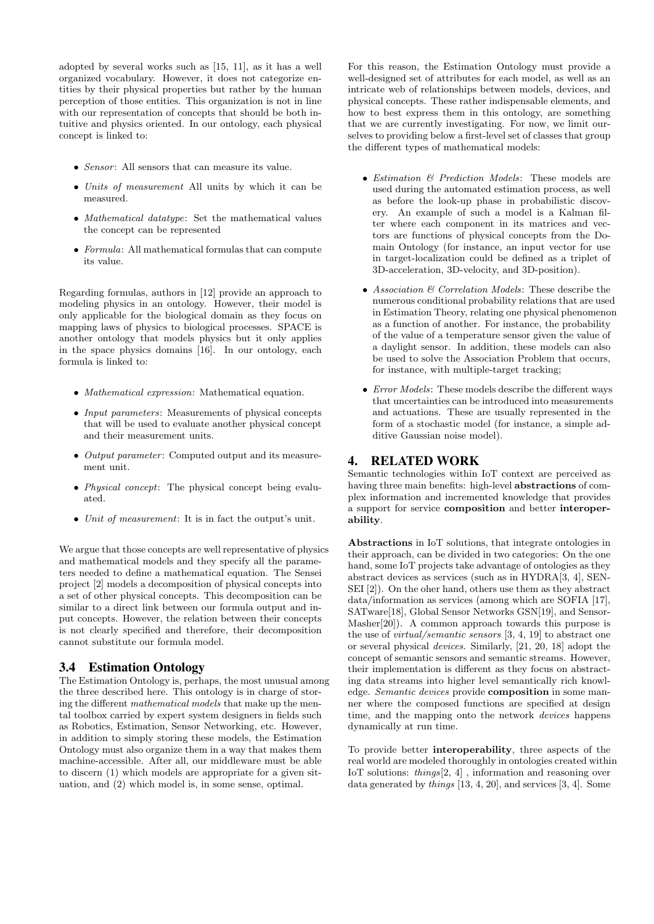adopted by several works such as [15, 11], as it has a well organized vocabulary. However, it does not categorize entities by their physical properties but rather by the human perception of those entities. This organization is not in line with our representation of concepts that should be both intuitive and physics oriented. In our ontology, each physical concept is linked to:

- Sensor: All sensors that can measure its value.
- Units of measurement All units by which it can be measured.
- Mathematical datatype: Set the mathematical values the concept can be represented
- Formula: All mathematical formulas that can compute its value.

Regarding formulas, authors in [12] provide an approach to modeling physics in an ontology. However, their model is only applicable for the biological domain as they focus on mapping laws of physics to biological processes. SPACE is another ontology that models physics but it only applies in the space physics domains [16]. In our ontology, each formula is linked to:

- Mathematical expression: Mathematical equation.
- *Input parameters:* Measurements of physical concepts that will be used to evaluate another physical concept and their measurement units.
- Output parameter: Computed output and its measurement unit.
- *Physical concept*: The physical concept being evaluated.
- Unit of measurement: It is in fact the output's unit.

We argue that those concepts are well representative of physics and mathematical models and they specify all the parameters needed to define a mathematical equation. The Sensei project [2] models a decomposition of physical concepts into a set of other physical concepts. This decomposition can be similar to a direct link between our formula output and input concepts. However, the relation between their concepts is not clearly specified and therefore, their decomposition cannot substitute our formula model.

### 3.4 Estimation Ontology

The Estimation Ontology is, perhaps, the most unusual among the three described here. This ontology is in charge of storing the different mathematical models that make up the mental toolbox carried by expert system designers in fields such as Robotics, Estimation, Sensor Networking, etc. However, in addition to simply storing these models, the Estimation Ontology must also organize them in a way that makes them machine-accessible. After all, our middleware must be able to discern (1) which models are appropriate for a given situation, and (2) which model is, in some sense, optimal.

For this reason, the Estimation Ontology must provide a well-designed set of attributes for each model, as well as an intricate web of relationships between models, devices, and physical concepts. These rather indispensable elements, and how to best express them in this ontology, are something that we are currently investigating. For now, we limit ourselves to providing below a first-level set of classes that group the different types of mathematical models:

- Estimation & Prediction Models: These models are used during the automated estimation process, as well as before the look-up phase in probabilistic discovery. An example of such a model is a Kalman filter where each component in its matrices and vectors are functions of physical concepts from the Domain Ontology (for instance, an input vector for use in target-localization could be defined as a triplet of 3D-acceleration, 3D-velocity, and 3D-position).
- Association & Correlation Models: These describe the numerous conditional probability relations that are used in Estimation Theory, relating one physical phenomenon as a function of another. For instance, the probability of the value of a temperature sensor given the value of a daylight sensor. In addition, these models can also be used to solve the Association Problem that occurs, for instance, with multiple-target tracking;
- Error Models: These models describe the different ways that uncertainties can be introduced into measurements and actuations. These are usually represented in the form of a stochastic model (for instance, a simple additive Gaussian noise model).

#### 4. RELATED WORK

Semantic technologies within IoT context are perceived as having three main benefits: high-level abstractions of complex information and incremented knowledge that provides a support for service composition and better interoperability.

Abstractions in IoT solutions, that integrate ontologies in their approach, can be divided in two categories: On the one hand, some IoT projects take advantage of ontologies as they abstract devices as services (such as in HYDRA[3, 4], SEN-SEI [2]). On the oher hand, others use them as they abstract data/information as services (among which are SOFIA [17], SATware[18], Global Sensor Networks GSN[19], and Sensor-Masher[20]). A common approach towards this purpose is the use of virtual/semantic sensors [3, 4, 19] to abstract one or several physical devices. Similarly, [21, 20, 18] adopt the concept of semantic sensors and semantic streams. However, their implementation is different as they focus on abstracting data streams into higher level semantically rich knowledge. Semantic devices provide composition in some manner where the composed functions are specified at design time, and the mapping onto the network *devices* happens dynamically at run time.

To provide better interoperability, three aspects of the real world are modeled thoroughly in ontologies created within IoT solutions: *things*<sup>[2, 4]</sup>, information and reasoning over data generated by things [13, 4, 20], and services [3, 4]. Some